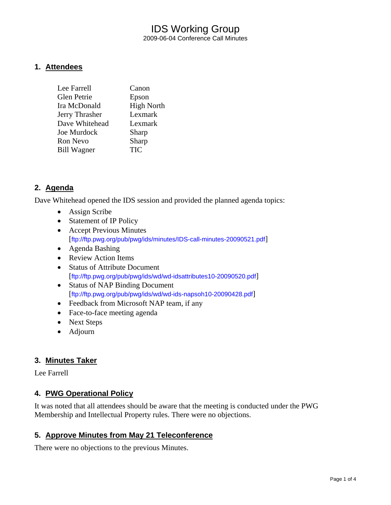## IDS Working Group 2009-06-04 Conference Call Minutes

### **1. Attendees**

| Lee Farrell        | Canon             |
|--------------------|-------------------|
| Glen Petrie        | Epson             |
| Ira McDonald       | <b>High North</b> |
| Jerry Thrasher     | Lexmark           |
| Dave Whitehead     | Lexmark           |
| Joe Murdock        | Sharp             |
| Ron Nevo           | Sharp             |
| <b>Bill Wagner</b> | <b>TIC</b>        |
|                    |                   |

## **2. Agenda**

Dave Whitehead opened the IDS session and provided the planned agenda topics:

- Assign Scribe
- Statement of IP Policy
- Accept Previous Minutes [<ftp://ftp.pwg.org/pub/pwg/ids/minutes/IDS-call-minutes-20090521.pdf>]
- Agenda Bashing
- Review Action Items
- Status of Attribute Document [<ftp://ftp.pwg.org/pub/pwg/ids/wd/wd-idsattributes10-20090520.pdf>]
- Status of NAP Binding Document [<ftp://ftp.pwg.org/pub/pwg/ids/wd/wd-ids-napsoh10-20090428.pdf>]
- Feedback from Microsoft NAP team, if any
- Face-to-face meeting agenda
- Next Steps
- Adjourn

## **3. Minutes Taker**

Lee Farrell

## **4. PWG Operational Policy**

It was noted that all attendees should be aware that the meeting is conducted under the PWG Membership and Intellectual Property rules. There were no objections.

## **5. Approve Minutes from May 21 Teleconference**

There were no objections to the previous Minutes.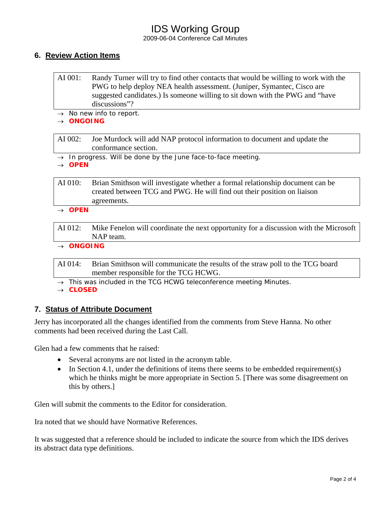# IDS Working Group

2009-06-04 Conference Call Minutes

## **6. Review Action Items**

| AI 001: | Randy Turner will try to find other contacts that would be willing to work with the |  |
|---------|-------------------------------------------------------------------------------------|--|
|         | PWG to help deploy NEA health assessment. (Juniper, Symantec, Cisco are             |  |
|         | suggested candidates.) Is someone willing to sit down with the PWG and "have        |  |
|         | discussions"?                                                                       |  |

→ *No new info to report.* 

#### → *ONGOING*

AI 002: Joe Murdock will add NAP protocol information to document and update the conformance section.

→ *In progress. Will be done by the June face-to-face meeting.* 

→ *OPEN* 

AI 010: Brian Smithson will investigate whether a formal relationship document can be created between TCG and PWG. He will find out their position on liaison agreements.

#### → *OPEN*

AI 012: Mike Fenelon will coordinate the next opportunity for a discussion with the Microsoft NAP team.

→ *ONGOING* 

AI 014: Brian Smithson will communicate the results of the straw poll to the TCG board member responsible for the TCG HCWG.

→ *This was included in the TCG HCWG teleconference meeting Minutes.* 

→ *CLOSED* 

## **7. Status of Attribute Document**

Jerry has incorporated all the changes identified from the comments from Steve Hanna. No other comments had been received during the Last Call.

Glen had a few comments that he raised:

- Several acronyms are not listed in the acronym table.
- In Section 4.1, under the definitions of items there seems to be embedded requirement(s) which he thinks might be more appropriate in Section 5. [There was some disagreement on this by others.]

Glen will submit the comments to the Editor for consideration.

Ira noted that we should have Normative References.

It was suggested that a reference should be included to indicate the source from which the IDS derives its abstract data type definitions.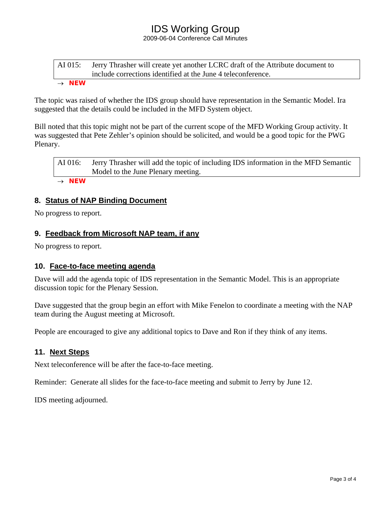# IDS Working Group

2009-06-04 Conference Call Minutes

### AI 015: Jerry Thrasher will create yet another LCRC draft of the Attribute document to include corrections identified at the June 4 teleconference. → *NEW*

The topic was raised of whether the IDS group should have representation in the Semantic Model. Ira suggested that the details could be included in the MFD System object.

Bill noted that this topic might not be part of the current scope of the MFD Working Group activity. It was suggested that Pete Zehler's opinion should be solicited, and would be a good topic for the PWG Plenary.

AI 016: Jerry Thrasher will add the topic of including IDS information in the MFD Semantic Model to the June Plenary meeting. → *NEW*

**8. Status of NAP Binding Document** 

No progress to report.

## **9. Feedback from Microsoft NAP team, if any**

No progress to report.

#### **10. Face-to-face meeting agenda**

Dave will add the agenda topic of IDS representation in the Semantic Model. This is an appropriate discussion topic for the Plenary Session.

Dave suggested that the group begin an effort with Mike Fenelon to coordinate a meeting with the NAP team during the August meeting at Microsoft.

People are encouraged to give any additional topics to Dave and Ron if they think of any items.

#### **11. Next Steps**

Next teleconference will be after the face-to-face meeting.

Reminder: Generate all slides for the face-to-face meeting and submit to Jerry by June 12.

IDS meeting adjourned.